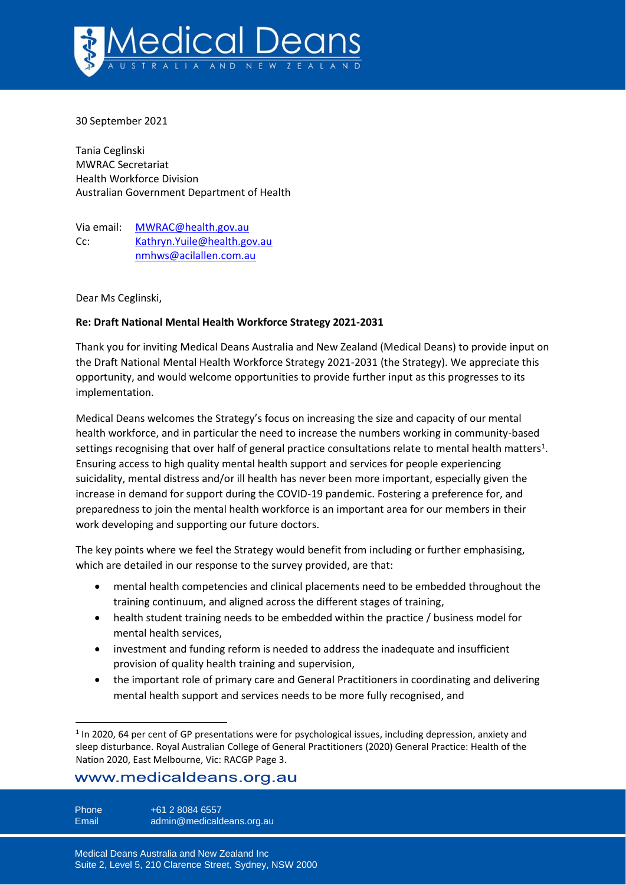

30 September 2021

Tania Ceglinski MWRAC Secretariat Health Workforce Division Australian Government Department of Health

Via email: [MWRAC@health.gov.au](mailto:MWRAC@health.gov.au) Cc: [Kathryn.Yuile@health.gov.au](mailto:Kathryn.Yuile@health.gov.au) [nmhws@acilallen.com.au](mailto:nmhws@acilallen.com.au)

Dear Ms Ceglinski,

#### **Re: Draft National Mental Health Workforce Strategy 2021-2031**

Thank you for inviting Medical Deans Australia and New Zealand (Medical Deans) to provide input on the Draft National Mental Health Workforce Strategy 2021-2031 (the Strategy). We appreciate this opportunity, and would welcome opportunities to provide further input as this progresses to its implementation.

Medical Deans welcomes the Strategy's focus on increasing the size and capacity of our mental health workforce, and in particular the need to increase the numbers working in community-based settings recognising that over half of general practice consultations relate to mental health matters<sup>1</sup>. Ensuring access to high quality mental health support and services for people experiencing suicidality, mental distress and/or ill health has never been more important, especially given the increase in demand for support during the COVID-19 pandemic. Fostering a preference for, and preparedness to join the mental health workforce is an important area for our members in their work developing and supporting our future doctors.

The key points where we feel the Strategy would benefit from including or further emphasising, which are detailed in our response to the survey provided, are that:

- mental health competencies and clinical placements need to be embedded throughout the training continuum, and aligned across the different stages of training,
- health student training needs to be embedded within the practice / business model for mental health services,
- investment and funding reform is needed to address the inadequate and insufficient provision of quality health training and supervision,
- the important role of primary care and General Practitioners in coordinating and delivering mental health support and services needs to be more fully recognised, and

# www.medicaldeans.org.au

Phone +61 2 8084 6557 Email admin@medicaldeans.org.au

<sup>&</sup>lt;sup>1</sup> In 2020, 64 per cent of GP presentations were for psychological issues, including depression, anxiety and sleep disturbance. Royal Australian College of General Practitioners (2020) General Practice: Health of the Nation 2020, East Melbourne, Vic: RACGP Page 3.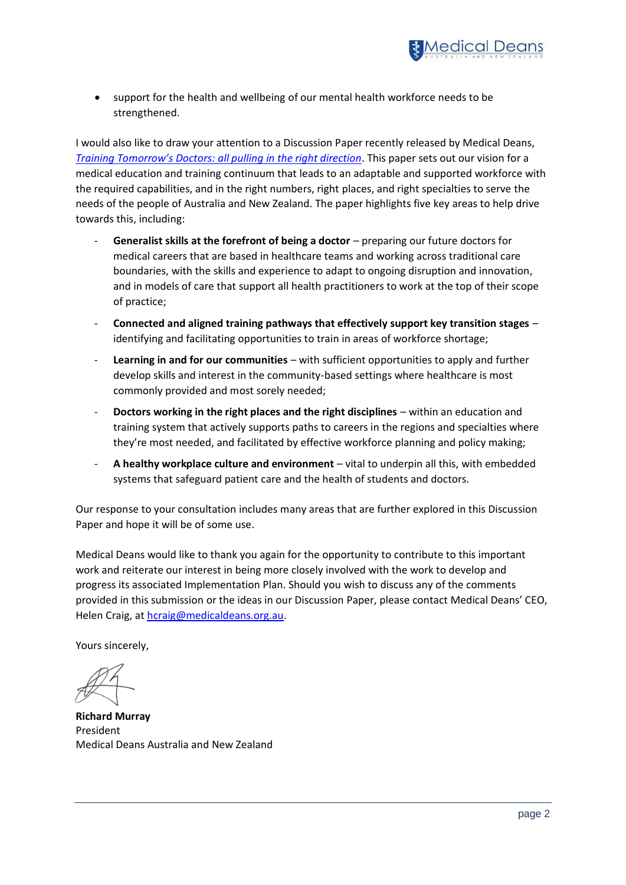

support for the health and wellbeing of our mental health workforce needs to be strengthened.

I would also like to draw your attention to a Discussion Paper recently released by Medical Deans, *[Training Tomorrow's Doctors: all pulling](https://medicaldeans.org.au/resource/training-tomorrows-doctors-all-pulling-in-the-right-direction/) in the right direction*. This paper sets out our vision for a medical education and training continuum that leads to an adaptable and supported workforce with the required capabilities, and in the right numbers, right places, and right specialties to serve the needs of the people of Australia and New Zealand. The paper highlights five key areas to help drive towards this, including:

- **Generalist skills at the forefront of being a doctor** preparing our future doctors for medical careers that are based in healthcare teams and working across traditional care boundaries, with the skills and experience to adapt to ongoing disruption and innovation, and in models of care that support all health practitioners to work at the top of their scope of practice;
- **Connected and aligned training pathways that effectively support key transition stages** identifying and facilitating opportunities to train in areas of workforce shortage;
- **Learning in and for our communities** with sufficient opportunities to apply and further develop skills and interest in the community-based settings where healthcare is most commonly provided and most sorely needed;
- **Doctors working in the right places and the right disciplines** within an education and training system that actively supports paths to careers in the regions and specialties where they're most needed, and facilitated by effective workforce planning and policy making;
- **A healthy workplace culture and environment** vital to underpin all this, with embedded systems that safeguard patient care and the health of students and doctors.

Our response to your consultation includes many areas that are further explored in this Discussion Paper and hope it will be of some use.

Medical Deans would like to thank you again for the opportunity to contribute to this important work and reiterate our interest in being more closely involved with the work to develop and progress its associated Implementation Plan. Should you wish to discuss any of the comments provided in this submission or the ideas in our Discussion Paper, please contact Medical Deans' CEO, Helen Craig, at [hcraig@medicaldeans.org.au.](mailto:hcraig@medicaldeans.org.au)

Yours sincerely,

**Richard Murray** President Medical Deans Australia and New Zealand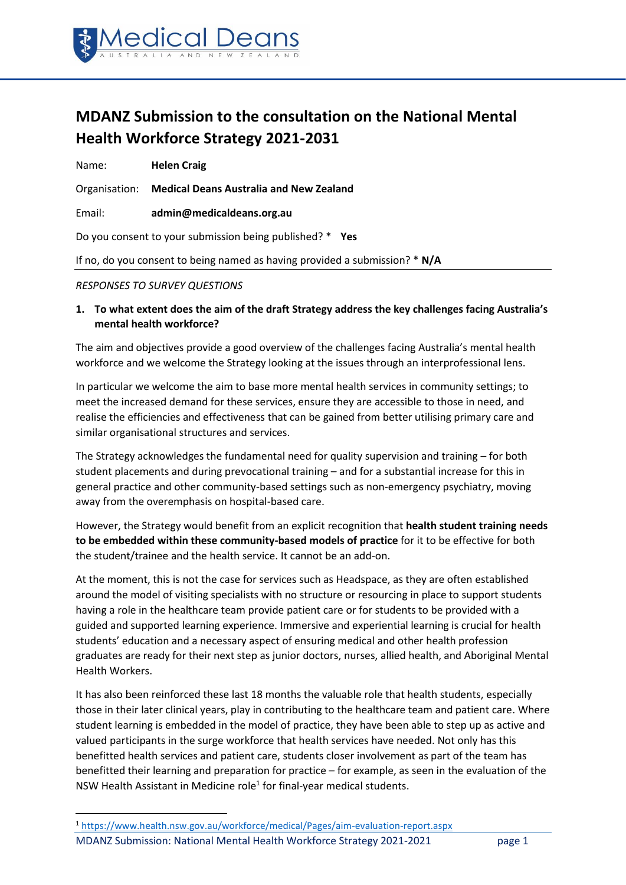

# **MDANZ Submission to the consultation on the National Mental Health Workforce Strategy 2021-2031**

Name: **Helen Craig**

Organisation: **Medical Deans Australia and New Zealand**

Email: **admin@medicaldeans.org.au**

Do you consent to your submission being published? \* **Yes**

If no, do you consent to being named as having provided a submission? \* **N/A**

#### *RESPONSES TO SURVEY QUESTIONS*

**1. To what extent does the aim of the draft Strategy address the key challenges facing Australia's mental health workforce?**

The aim and objectives provide a good overview of the challenges facing Australia's mental health workforce and we welcome the Strategy looking at the issues through an interprofessional lens.

In particular we welcome the aim to base more mental health services in community settings; to meet the increased demand for these services, ensure they are accessible to those in need, and realise the efficiencies and effectiveness that can be gained from better utilising primary care and similar organisational structures and services.

The Strategy acknowledges the fundamental need for quality supervision and training – for both student placements and during prevocational training – and for a substantial increase for this in general practice and other community-based settings such as non-emergency psychiatry, moving away from the overemphasis on hospital-based care.

However, the Strategy would benefit from an explicit recognition that **health student training needs to be embedded within these community-based models of practice** for it to be effective for both the student/trainee and the health service. It cannot be an add-on.

At the moment, this is not the case for services such as Headspace, as they are often established around the model of visiting specialists with no structure or resourcing in place to support students having a role in the healthcare team provide patient care or for students to be provided with a guided and supported learning experience. Immersive and experiential learning is crucial for health students' education and a necessary aspect of ensuring medical and other health profession graduates are ready for their next step as junior doctors, nurses, allied health, and Aboriginal Mental Health Workers.

It has also been reinforced these last 18 months the valuable role that health students, especially those in their later clinical years, play in contributing to the healthcare team and patient care. Where student learning is embedded in the model of practice, they have been able to step up as active and valued participants in the surge workforce that health services have needed. Not only has this benefitted health services and patient care, students closer involvement as part of the team has benefitted their learning and preparation for practice – for example, as seen in the evaluation of the NSW Health Assistant in Medicine role<sup>1</sup> for final-year medical students.

MDANZ Submission: National Mental Health Workforce Strategy 2021-2021 page 1 <sup>1</sup> <https://www.health.nsw.gov.au/workforce/medical/Pages/aim-evaluation-report.aspx>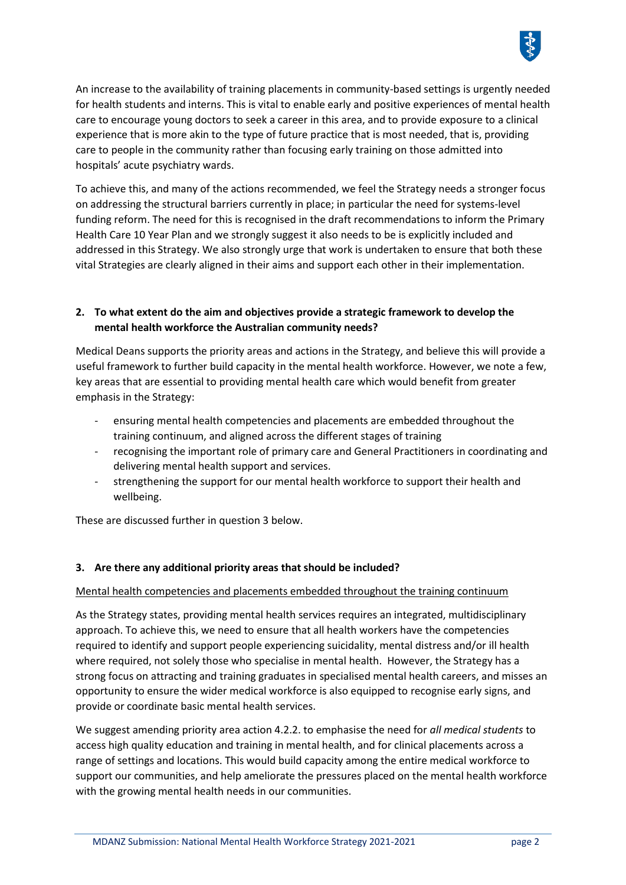

An increase to the availability of training placements in community-based settings is urgently needed for health students and interns. This is vital to enable early and positive experiences of mental health care to encourage young doctors to seek a career in this area, and to provide exposure to a clinical experience that is more akin to the type of future practice that is most needed, that is, providing care to people in the community rather than focusing early training on those admitted into hospitals' acute psychiatry wards.

To achieve this, and many of the actions recommended, we feel the Strategy needs a stronger focus on addressing the structural barriers currently in place; in particular the need for systems-level funding reform. The need for this is recognised in the draft recommendations to inform the Primary Health Care 10 Year Plan and we strongly suggest it also needs to be is explicitly included and addressed in this Strategy. We also strongly urge that work is undertaken to ensure that both these vital Strategies are clearly aligned in their aims and support each other in their implementation.

## **2. To what extent do the aim and objectives provide a strategic framework to develop the mental health workforce the Australian community needs?**

Medical Deans supports the priority areas and actions in the Strategy, and believe this will provide a useful framework to further build capacity in the mental health workforce. However, we note a few, key areas that are essential to providing mental health care which would benefit from greater emphasis in the Strategy:

- ensuring mental health competencies and placements are embedded throughout the training continuum, and aligned across the different stages of training
- recognising the important role of primary care and General Practitioners in coordinating and delivering mental health support and services.
- strengthening the support for our mental health workforce to support their health and wellbeing.

These are discussed further in question 3 below.

## **3. Are there any additional priority areas that should be included?**

## Mental health competencies and placements embedded throughout the training continuum

As the Strategy states, providing mental health services requires an integrated, multidisciplinary approach. To achieve this, we need to ensure that all health workers have the competencies required to identify and support people experiencing suicidality, mental distress and/or ill health where required, not solely those who specialise in mental health. However, the Strategy has a strong focus on attracting and training graduates in specialised mental health careers, and misses an opportunity to ensure the wider medical workforce is also equipped to recognise early signs, and provide or coordinate basic mental health services.

We suggest amending priority area action 4.2.2. to emphasise the need for *all medical students* to access high quality education and training in mental health, and for clinical placements across a range of settings and locations. This would build capacity among the entire medical workforce to support our communities, and help ameliorate the pressures placed on the mental health workforce with the growing mental health needs in our communities.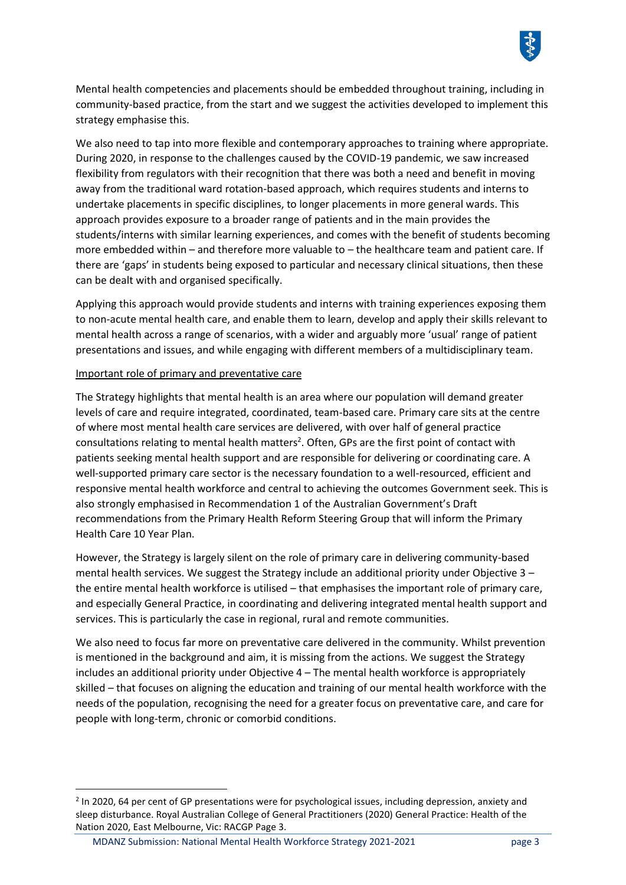

Mental health competencies and placements should be embedded throughout training, including in community-based practice, from the start and we suggest the activities developed to implement this strategy emphasise this.

We also need to tap into more flexible and contemporary approaches to training where appropriate. During 2020, in response to the challenges caused by the COVID-19 pandemic, we saw increased flexibility from regulators with their recognition that there was both a need and benefit in moving away from the traditional ward rotation-based approach, which requires students and interns to undertake placements in specific disciplines, to longer placements in more general wards. This approach provides exposure to a broader range of patients and in the main provides the students/interns with similar learning experiences, and comes with the benefit of students becoming more embedded within – and therefore more valuable to – the healthcare team and patient care. If there are 'gaps' in students being exposed to particular and necessary clinical situations, then these can be dealt with and organised specifically.

Applying this approach would provide students and interns with training experiences exposing them to non-acute mental health care, and enable them to learn, develop and apply their skills relevant to mental health across a range of scenarios, with a wider and arguably more 'usual' range of patient presentations and issues, and while engaging with different members of a multidisciplinary team.

#### Important role of primary and preventative care

The Strategy highlights that mental health is an area where our population will demand greater levels of care and require integrated, coordinated, team-based care. Primary care sits at the centre of where most mental health care services are delivered, with over half of general practice consultations relating to mental health matters<sup>2</sup>. Often, GPs are the first point of contact with patients seeking mental health support and are responsible for delivering or coordinating care. A well-supported primary care sector is the necessary foundation to a well-resourced, efficient and responsive mental health workforce and central to achieving the outcomes Government seek. This is also strongly emphasised in Recommendation 1 of the Australian Government's Draft recommendations from the Primary Health Reform Steering Group that will inform the Primary Health Care 10 Year Plan.

However, the Strategy is largely silent on the role of primary care in delivering community-based mental health services. We suggest the Strategy include an additional priority under Objective 3 – the entire mental health workforce is utilised – that emphasises the important role of primary care, and especially General Practice, in coordinating and delivering integrated mental health support and services. This is particularly the case in regional, rural and remote communities.

We also need to focus far more on preventative care delivered in the community. Whilst prevention is mentioned in the background and aim, it is missing from the actions. We suggest the Strategy includes an additional priority under Objective 4 – The mental health workforce is appropriately skilled – that focuses on aligning the education and training of our mental health workforce with the needs of the population, recognising the need for a greater focus on preventative care, and care for people with long-term, chronic or comorbid conditions.

<sup>&</sup>lt;sup>2</sup> In 2020, 64 per cent of GP presentations were for psychological issues, including depression, anxiety and sleep disturbance. Royal Australian College of General Practitioners (2020) General Practice: Health of the Nation 2020, East Melbourne, Vic: RACGP Page 3.

MDANZ Submission: National Mental Health Workforce Strategy 2021-2021 page 3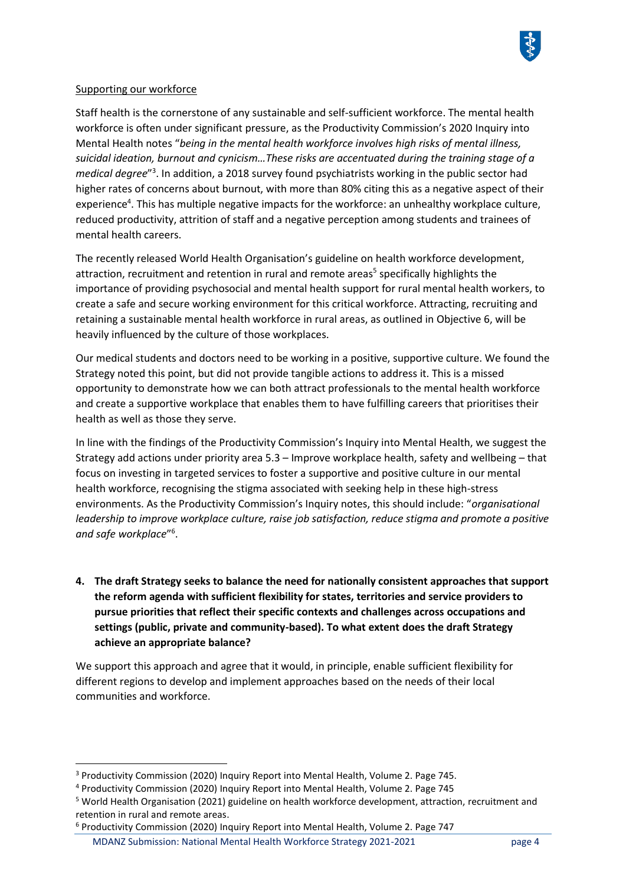

#### Supporting our workforce

Staff health is the cornerstone of any sustainable and self-sufficient workforce. The mental health workforce is often under significant pressure, as the Productivity Commission's 2020 Inquiry into Mental Health notes "*being in the mental health workforce involves high risks of mental illness, suicidal ideation, burnout and cynicism…These risks are accentuated during the training stage of a*  medical degree<sup>"3</sup>. In addition, a 2018 survey found psychiatrists working in the public sector had higher rates of concerns about burnout, with more than 80% citing this as a negative aspect of their experience<sup>4</sup>. This has multiple negative impacts for the workforce: an unhealthy workplace culture, reduced productivity, attrition of staff and a negative perception among students and trainees of mental health careers.

The recently released World Health Organisation's guideline on health workforce development, attraction, recruitment and retention in rural and remote areas<sup>5</sup> specifically highlights the importance of providing psychosocial and mental health support for rural mental health workers, to create a safe and secure working environment for this critical workforce. Attracting, recruiting and retaining a sustainable mental health workforce in rural areas, as outlined in Objective 6, will be heavily influenced by the culture of those workplaces.

Our medical students and doctors need to be working in a positive, supportive culture. We found the Strategy noted this point, but did not provide tangible actions to address it. This is a missed opportunity to demonstrate how we can both attract professionals to the mental health workforce and create a supportive workplace that enables them to have fulfilling careers that prioritises their health as well as those they serve.

In line with the findings of the Productivity Commission's Inquiry into Mental Health, we suggest the Strategy add actions under priority area 5.3 – Improve workplace health, safety and wellbeing – that focus on investing in targeted services to foster a supportive and positive culture in our mental health workforce, recognising the stigma associated with seeking help in these high-stress environments. As the Productivity Commission's Inquiry notes, this should include: "*organisational leadership to improve workplace culture, raise job satisfaction, reduce stigma and promote a positive and safe workplace*" 6 .

**4. The draft Strategy seeks to balance the need for nationally consistent approaches that support the reform agenda with sufficient flexibility for states, territories and service providers to pursue priorities that reflect their specific contexts and challenges across occupations and settings (public, private and community-based). To what extent does the draft Strategy achieve an appropriate balance?**

We support this approach and agree that it would, in principle, enable sufficient flexibility for different regions to develop and implement approaches based on the needs of their local communities and workforce.

<sup>3</sup> Productivity Commission (2020) Inquiry Report into Mental Health, Volume 2. Page 745.

<sup>4</sup> Productivity Commission (2020) Inquiry Report into Mental Health, Volume 2. Page 745

<sup>5</sup> World Health Organisation (2021) guideline on health workforce development, attraction, recruitment and retention in rural and remote areas.

MDANZ Submission: National Mental Health Workforce Strategy 2021-2021 page 4 <sup>6</sup> Productivity Commission (2020) Inquiry Report into Mental Health, Volume 2. Page 747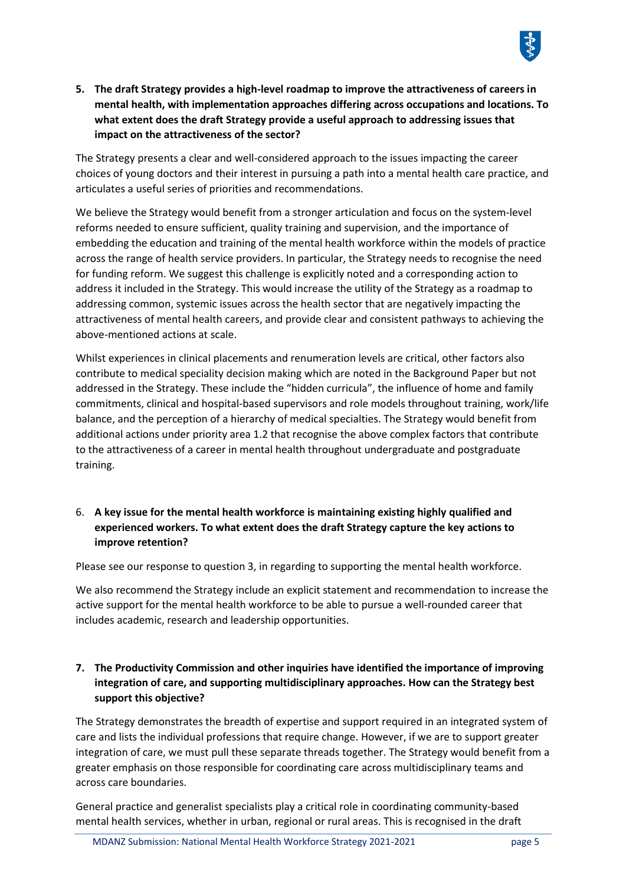

**5. The draft Strategy provides a high-level roadmap to improve the attractiveness of careers in mental health, with implementation approaches differing across occupations and locations. To what extent does the draft Strategy provide a useful approach to addressing issues that impact on the attractiveness of the sector?**

The Strategy presents a clear and well-considered approach to the issues impacting the career choices of young doctors and their interest in pursuing a path into a mental health care practice, and articulates a useful series of priorities and recommendations.

We believe the Strategy would benefit from a stronger articulation and focus on the system-level reforms needed to ensure sufficient, quality training and supervision, and the importance of embedding the education and training of the mental health workforce within the models of practice across the range of health service providers. In particular, the Strategy needs to recognise the need for funding reform. We suggest this challenge is explicitly noted and a corresponding action to address it included in the Strategy. This would increase the utility of the Strategy as a roadmap to addressing common, systemic issues across the health sector that are negatively impacting the attractiveness of mental health careers, and provide clear and consistent pathways to achieving the above-mentioned actions at scale.

Whilst experiences in clinical placements and renumeration levels are critical, other factors also contribute to medical speciality decision making which are noted in the Background Paper but not addressed in the Strategy. These include the "hidden curricula", the influence of home and family commitments, clinical and hospital-based supervisors and role models throughout training, work/life balance, and the perception of a hierarchy of medical specialties. The Strategy would benefit from additional actions under priority area 1.2 that recognise the above complex factors that contribute to the attractiveness of a career in mental health throughout undergraduate and postgraduate training.

## 6. **A key issue for the mental health workforce is maintaining existing highly qualified and experienced workers. To what extent does the draft Strategy capture the key actions to improve retention?**

Please see our response to question 3, in regarding to supporting the mental health workforce.

We also recommend the Strategy include an explicit statement and recommendation to increase the active support for the mental health workforce to be able to pursue a well-rounded career that includes academic, research and leadership opportunities.

# **7. The Productivity Commission and other inquiries have identified the importance of improving integration of care, and supporting multidisciplinary approaches. How can the Strategy best support this objective?**

The Strategy demonstrates the breadth of expertise and support required in an integrated system of care and lists the individual professions that require change. However, if we are to support greater integration of care, we must pull these separate threads together. The Strategy would benefit from a greater emphasis on those responsible for coordinating care across multidisciplinary teams and across care boundaries.

General practice and generalist specialists play a critical role in coordinating community-based mental health services, whether in urban, regional or rural areas. This is recognised in the draft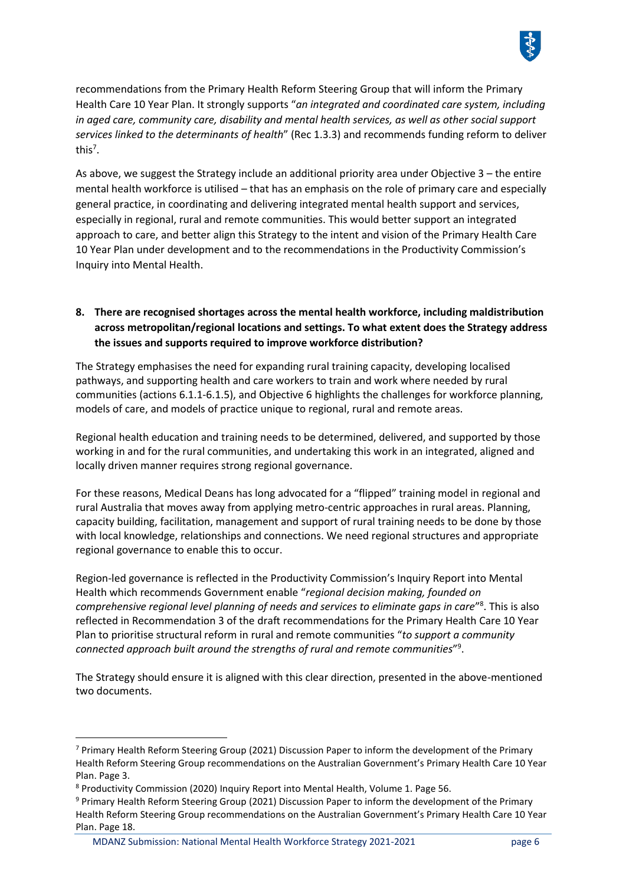

recommendations from the Primary Health Reform Steering Group that will inform the Primary Health Care 10 Year Plan. It strongly supports "*an integrated and coordinated care system, including in aged care, community care, disability and mental health services, as well as other social support services linked to the determinants of health*" (Rec 1.3.3) and recommends funding reform to deliver this<sup>7</sup>.

As above, we suggest the Strategy include an additional priority area under Objective 3 – the entire mental health workforce is utilised – that has an emphasis on the role of primary care and especially general practice, in coordinating and delivering integrated mental health support and services, especially in regional, rural and remote communities. This would better support an integrated approach to care, and better align this Strategy to the intent and vision of the Primary Health Care 10 Year Plan under development and to the recommendations in the Productivity Commission's Inquiry into Mental Health.

# **8. There are recognised shortages across the mental health workforce, including maldistribution across metropolitan/regional locations and settings. To what extent does the Strategy address the issues and supports required to improve workforce distribution?**

The Strategy emphasises the need for expanding rural training capacity, developing localised pathways, and supporting health and care workers to train and work where needed by rural communities (actions 6.1.1-6.1.5), and Objective 6 highlights the challenges for workforce planning, models of care, and models of practice unique to regional, rural and remote areas.

Regional health education and training needs to be determined, delivered, and supported by those working in and for the rural communities, and undertaking this work in an integrated, aligned and locally driven manner requires strong regional governance.

For these reasons, Medical Deans has long advocated for a "flipped" training model in regional and rural Australia that moves away from applying metro-centric approaches in rural areas. Planning, capacity building, facilitation, management and support of rural training needs to be done by those with local knowledge, relationships and connections. We need regional structures and appropriate regional governance to enable this to occur.

Region-led governance is reflected in the Productivity Commission's Inquiry Report into Mental Health which recommends Government enable "*regional decision making, founded on comprehensive regional level planning of needs and services to eliminate gaps in care*" 8 . This is also reflected in Recommendation 3 of the draft recommendations for the Primary Health Care 10 Year Plan to prioritise structural reform in rural and remote communities "*to support a community connected approach built around the strengths of rural and remote communities*" 9 .

The Strategy should ensure it is aligned with this clear direction, presented in the above-mentioned two documents.

 $7$  Primary Health Reform Steering Group (2021) Discussion Paper to inform the development of the Primary Health Reform Steering Group recommendations on the Australian Government's Primary Health Care 10 Year Plan. Page 3.

<sup>8</sup> Productivity Commission (2020) Inquiry Report into Mental Health, Volume 1. Page 56.

<sup>9</sup> Primary Health Reform Steering Group (2021) Discussion Paper to inform the development of the Primary Health Reform Steering Group recommendations on the Australian Government's Primary Health Care 10 Year Plan. Page 18.